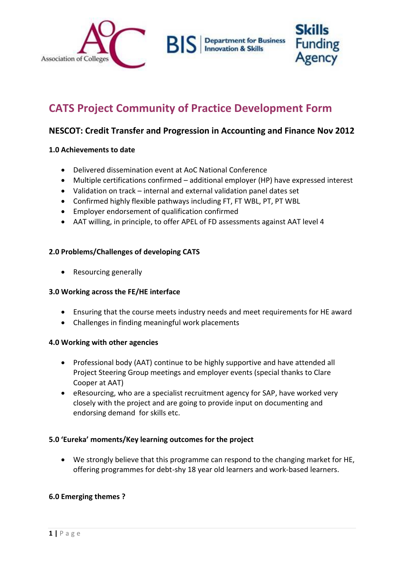

# **CATS Project Community of Practice Development Form**

## **NESCOT: Credit Transfer and Progression in Accounting and Finance Nov 2012**

#### **1.0 Achievements to date**

- Delivered dissemination event at AoC National Conference
- Multiple certifications confirmed additional employer (HP) have expressed interest
- Validation on track internal and external validation panel dates set
- Confirmed highly flexible pathways including FT, FT WBL, PT, PT WBL
- Employer endorsement of qualification confirmed
- AAT willing, in principle, to offer APEL of FD assessments against AAT level 4

### **2.0 Problems/Challenges of developing CATS**

• Resourcing generally

#### **3.0 Working across the FE/HE interface**

- Ensuring that the course meets industry needs and meet requirements for HE award
- Challenges in finding meaningful work placements

#### **4.0 Working with other agencies**

- Professional body (AAT) continue to be highly supportive and have attended all Project Steering Group meetings and employer events (special thanks to Clare Cooper at AAT)
- eResourcing, who are a specialist recruitment agency for SAP, have worked very closely with the project and are going to provide input on documenting and endorsing demand for skills etc.

#### **5.0 'Eureka' moments/Key learning outcomes for the project**

 We strongly believe that this programme can respond to the changing market for HE, offering programmes for debt-shy 18 year old learners and work-based learners.

#### **6.0 Emerging themes ?**